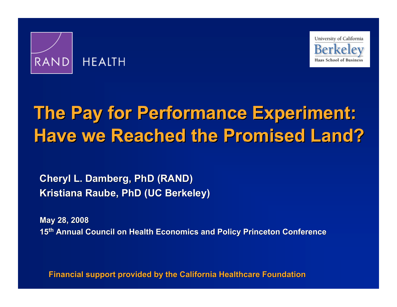



# **The Pay for Performance Experiment: The Pay for Performance Experiment: The Pay for Performance Experiment: Have we Reached the Promised Land? Have we Reached the Promised Land?**

**Cheryl L. Damberg, PhD (RAND) Kristiana Raube, PhD (UC Berkeley) Kristiana Raube, PhD (UC Berkeley)**

**May 28, 2008 May 28, 2008 15<sup>th</sup> Annual Council on Health Economics and Policy Princeton Conference** 

**Financial support provided by the California Healthcare Foundation**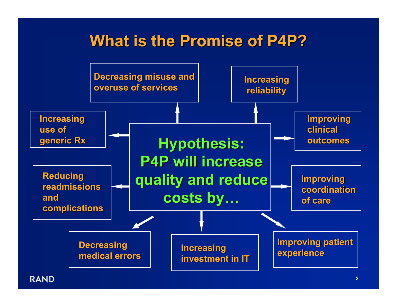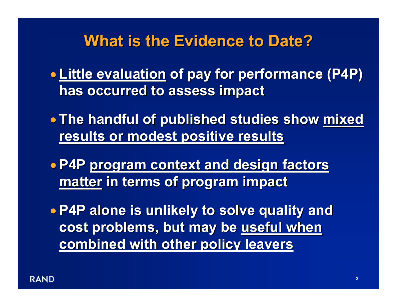### **What is the Evidence to Date? What is the Evidence to Date?**

- **Little evaluation Little evaluation of pay for performance (P4P) of pay for performance (P4P) has occurred to assess impact has occurred to assess impact**
- The handful of published studies show <u>mixed</u> **results or modest positive results results or modest positive results**
- **P4P program context and design factors program context and design factors matter in terms of program impact in terms of program impact**

• **P4P alone is unlikely to solve quality and P4P alone is unlikely to solve quality and**  cost problems, but may be useful when **combined with other policy leavers combined with other policy leavers**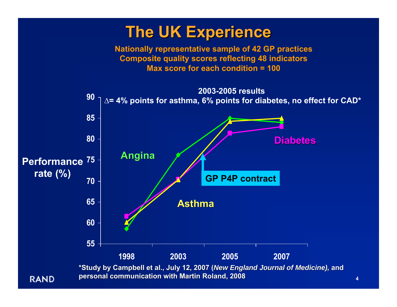### **The UK Experience**

**Nationally representative sample of 42 GP practices Composite quality scores reflecting 48 indicators Max score for each condition = 100**



**personal communication with Martin Roland, 2008**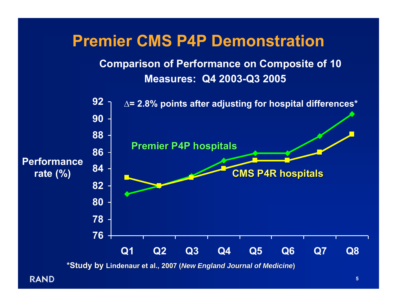### **Premier CMS P4P Demonstration**

### **Comparison of Performance on Composite of 10 Measures: Q4 2003-Q3 2005**



**\*Study by \*Study by Lindenaur Lindenaur et al., 2007 ( et al., 2007 (***New England Journal of Medicine New England Journal of Medicine***)**

**RAND**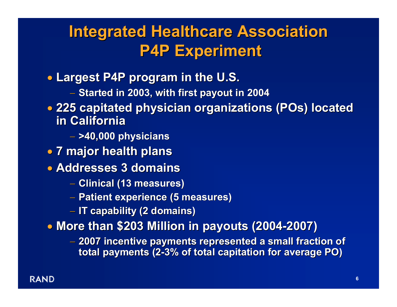### **Integrated Healthcare Association Integrated Healthcare Association P4P Experiment P4P Experiment**

- **Largest P4P program in the U.S. Largest P4P program in the U.S.**
	- **Started in 2003, with first payout in 2004 Started in 2003, with first payout in 2004**
- **225 capitated physician organizations (POs) located 225 capitated physician organizations (POs) located in California in California**
	- **>40,000 physicians >40,000 physicians**
- **7 major health plans 7 major health plans**
- **Addresses 3 domains Addresses 3 domains**
	- **Clinical (13 measures) Clinical (13 measures)**
	- **Patient experience (5 measures) Patient experience (5 measures)**
	- **IT capability (2 domains) IT capability (2 domains)**

**• More than \$203 Million in payouts (2004-2007)** 

 **2007 incentive payments repr 2007 incentive payments represented a small fraction of esented a small fraction of total payments (2 total payments (2 -3% of total capitation for average PO) 3% of total capitation for average PO)**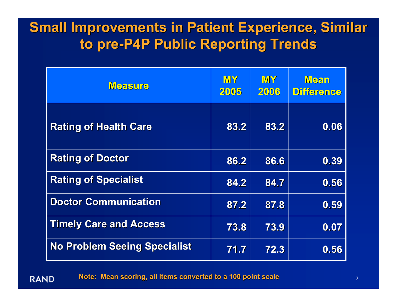### **Small Improvements in Patient Experience, Similar to pre -P4P Public Reporting Trends P4P Public Reporting Trends**

| <b>Measure</b>                      | <b>MY</b><br>2005 | <b>MY</b><br>2006 | <b>Mean</b><br><b>Difference</b> |
|-------------------------------------|-------------------|-------------------|----------------------------------|
| <b>Rating of Health Care</b>        | 83.2              | 83.2              | 0.06                             |
| <b>Rating of Doctor</b>             | 86.2              | 86.6              | 0.39                             |
| <b>Rating of Specialist</b>         | 84.2              | 84.7              | 0.56                             |
| <b>Doctor Communication</b>         | 87.2              | 87.8              | 0.59                             |
| <b>Timely Care and Access</b>       | 73.8              | 73.9              | 0.07                             |
| <b>No Problem Seeing Specialist</b> | 71.7              | 72.3              | 0.56                             |

**Note: Mean scoring, all items converted to a 100 point scale** 

**RAND**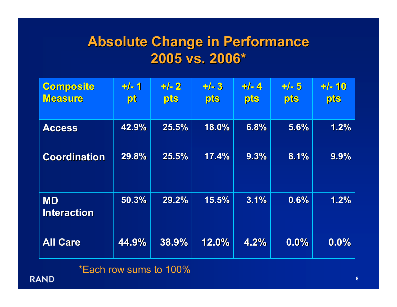### **Absolute Change in Performance Absolute Change in Performance 2005 vs. 2006\* 2005 vs. 2006\***

| <b>Composite</b><br><b>Measure</b> | $+/-1$<br>pt | $+/-2$<br>pts | $+/-3$<br>pts | $+/-4$<br>pts | $+/-5$<br>pts | $+/- 10$<br>pts |
|------------------------------------|--------------|---------------|---------------|---------------|---------------|-----------------|
| <b>Access</b>                      | 42.9%        | 25.5%         | 18.0%         | 6.8%          | 5.6%          | 1.2%            |
| <b>Coordination</b>                | 29.8%        | 25.5%         | 17.4%         | 9.3%          | 8.1%          | 9.9%            |
| <b>MD</b><br><b>Interaction</b>    | 50.3%        | 29.2%         | 15.5%         | 3.1%          | 0.6%          | 1.2%            |
| <b>All Care</b>                    | 44.9%        | 38.9%         | 12.0%         | 4.2%          | 0.0%          | 0.0%            |

\*Each row sums to 100%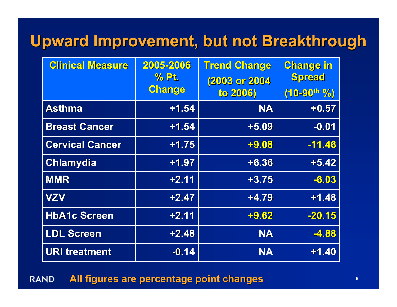### **Upward Improvement, but not Breakthrough Upward Improvement, but not Breakthrough**

| <b>Clinical Measure</b> | 2005-2006<br>% Pt. | <b>Trend Change</b><br>(2003 or 2004 | <b>Change in</b><br>Spread |
|-------------------------|--------------------|--------------------------------------|----------------------------|
|                         | Change             | to 2006)                             | $(10 - 90$ th %)           |
| <b>Asthma</b>           | $+1.54$            | <b>NA</b>                            | $+0.57$                    |
| <b>Breast Cancer</b>    | $+1,54$            | $+5.09$                              | $-0.01$                    |
| <b>Cervical Cancer</b>  | $+1.75$            | $+9.08$                              | $-11.46$                   |
| <b>Chlamydia</b>        | $+1.97$            | $+6.36$                              | $+5.42$                    |
| <b>MMR</b>              | $+2.11$            | $+3.75$                              | $-6.03$                    |
| <b>VZV</b>              | $+2.47$            | $+4.79$                              | $+1.48$                    |
| <b>HbA1c Screen</b>     | $+2.11$            | $+9.62$                              | $-20.15$                   |
| <b>LDL Screen</b>       | $+2.48$            | <b>NA</b>                            | $-4.88$                    |
| <b>URI treatment</b>    | $-0.14$            | <b>NA</b>                            | $+1.40$                    |

#### **All figures are percentage point changes All figures are percentage point changesRAND**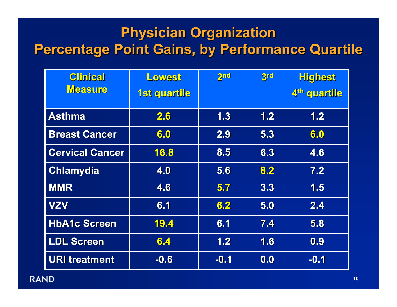### **Physician Organization Percentage Point Gains, by Performance Quartile**

| <b>Clinical</b><br><b>Measure</b> | Lowest<br>1st quartile | 2 <sub>nd</sub> | 3rd | <b>Highest</b><br>4th quartile |
|-----------------------------------|------------------------|-----------------|-----|--------------------------------|
|                                   |                        |                 |     |                                |
| <b>Asthma</b>                     | 2.6                    | 1.3             | 1.2 | 1.2                            |
| <b>Breast Cancer</b>              | 6.0                    | 2.9             | 5.3 | 6.0                            |
| <b>Cervical Cancer</b>            | 16.8                   | 8.5             | 6.3 | 4.6                            |
| <b>Chlamydia</b>                  | 4.0                    | 5.6             | 8.2 | 7.2                            |
| <b>MMR</b>                        | 4.6                    | 5.7             | 3.3 | 1.5                            |
| <b>VZV</b>                        | 6.1                    | 6.2             | 5.0 | 2.4                            |
| <b>HbA1c Screen</b>               | 19.4                   | 6.1             | 7.4 | 5.8                            |
| <b>LDL Screen</b>                 | 6.4                    | 1.2             | 1.6 | 0.9                            |
| <b>URI treatment</b>              | $-0.6$                 | $-0.1$          | 0.0 | $-0.1$                         |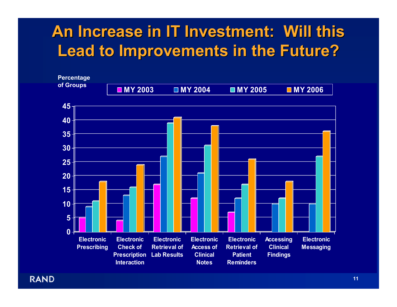### **An Increase in IT Investment: Will this Lead to Improvements in the Future? Lead to Improvements in the Future?**

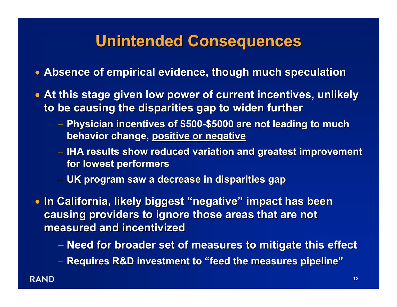### **Unintended Consequences Unintended Consequences**

- **Absence of empirical evidence, though much speculation Absence of empirical evidence, though much speculation**
- At this stage given low power of current incentives, unlikely **to be causing the disparities gap to widen further to be causing the disparities gap to widen further**
	- **Physician incentives of \$500 Physician incentives of \$500 -\$5000 are not leading to much \$5000 are not leading to much behavior change, positive or negative**
	- **⊢ IHA results show reduced variation and greatest improvement for lowest performers for lowest performers**
	- **UK program saw a decrease in disparities gap UK program saw a decrease in disparities gap**

• **In California, likely biggest In California, likely biggest "negative negative " impact has been impact has been causing providers to ignore those areas that are not measured and incentivized measured and incentivized**

- **Need for broader set of measures to mitigate this effect Need for broader set of measures to mitigate this effect**
- $-$  Requires R&D investment to "feed the measures pipeline"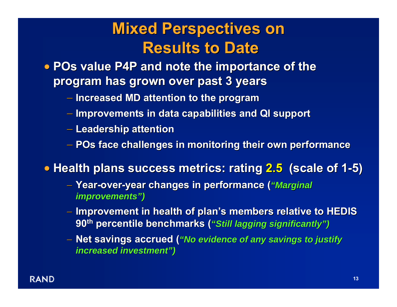### **Mixed Perspectives on Mixed Perspectives on Results to Date Results to Date**

- **POs value P4P and note the importance of the program has grown over past 3 years program has grown over past 3 years**
	- $-$  Increased MD attention to the program
	- **Improvements in data capabilities and QI support Improvements in data capabilities and QI support**
	- **Leadership attention Leadership attention**
	- $-$  POs face challenges in monitoring their own performance

• **Health plans success metrics: Health plans success metrics: rating 2.5 (scale of 1 (scale of 1 -5)**

- − **Year -over -year changes in performance ( year changes in performance (** *"Marginal Marginal improvements improvements ")*
- **Improvement in health of plan's members relative to HEDIS 90th percentile benchmarks ( percentile benchmarks (** *"Still lagging significantly Still lagging significantly ")*
- $-$  Net savings accrued (*"No evidence of any savings to justify increased investment increased investment ")*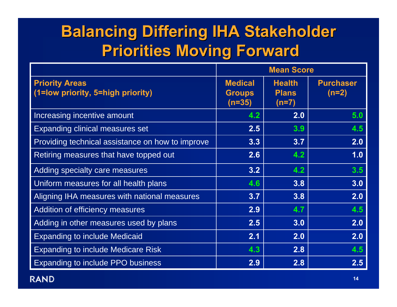## **Balancing Differing IHA Stakeholder Balancing Differing IHA Stakeholder Priorities Moving Forward Priorities Moving Forward**

|                                                            | <b>Mean Score</b>                         |                                          |                             |
|------------------------------------------------------------|-------------------------------------------|------------------------------------------|-----------------------------|
| <b>Priority Areas</b><br>(1=low priority, 5=high priority) | <b>Medical</b><br><b>Groups</b><br>(n=35) | <b>Health</b><br><b>Plans</b><br>$(n=7)$ | <b>Purchaser</b><br>$(n=2)$ |
| Increasing incentive amount                                | 4.2                                       | 2.0                                      | 5.0                         |
| <b>Expanding clinical measures set</b>                     | 2.5                                       | 3.9                                      | 4.5                         |
| Providing technical assistance on how to improve           | 3.3                                       | 3.7                                      | 2.0                         |
| Retiring measures that have topped out                     | 2.6                                       | 4.2                                      | 1.0                         |
| Adding specialty care measures                             | 3.2                                       | 4.2                                      | 3.5                         |
| Uniform measures for all health plans                      | 4.6                                       | 3.8                                      | 3.0                         |
| Aligning IHA measures with national measures               | 3.7                                       | 3.8                                      | 2.0                         |
| Addition of efficiency measures                            | 2.9                                       | 4.7                                      | 4.5                         |
| Adding in other measures used by plans                     | 2.5                                       | 3.0                                      | 2.0                         |
| <b>Expanding to include Medicaid</b>                       | 2.1                                       | 2.0                                      | 2.0                         |
| <b>Expanding to include Medicare Risk</b>                  | 4.3                                       | 2.8                                      | 4.5                         |
| <b>Expanding to include PPO business</b>                   | 2.9                                       | 2.8                                      | 2.5                         |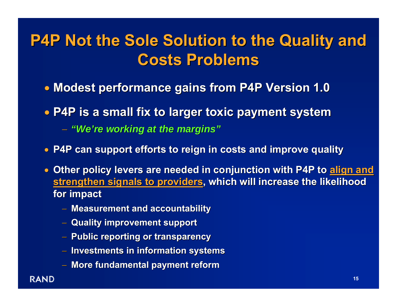## **P4P Not the Sole Solution to the Quality and P4P Not the Sole Solution to the Quality and Costs Problems Costs Problems**

- **Modest performance gains from P4P Version 1.0 Modest performance gains from P4P Version 1.0**
- **P4P is a small fix to larger toxic payment system P4P is a small fix to larger toxic payment system**
	- − *"We're working at the margins re working at the margins "*
- **P4P can support efforts to reign in costs and improve quality**
- Other policy levers are needed in conjunction with P4P to <u>align and</u> **<u>strengthen signals to providers,</u> which will increase the likelihood for impact for impact**
	- − **Measurement and accountability Measurement and accountability**
	- − **Quality improvement support Quality improvement support**
	- − **Public reporting or transparency Public reporting or transparency**
	- − **Investments in information systems Investments in information systems**
	- − **More fundamental payment reform**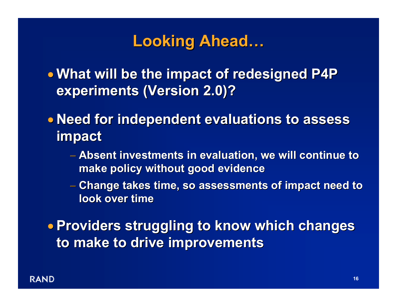#### **Looking Ahead Looking Ahead …**

• **What will be the impact of redesigned P4P What will be the impact of redesigned P4P experiments (Version 2.0)? experiments (Version 2.0)?**

**• Need for independent evaluations to assess impact**

- − **Absent investments in evalua Absent investments in evaluation, we will continue to tion, we will continue to make policy without good evidence make policy without good evidence**
- **Change takes time, so assessments of impact need to Change takes time, so assessments of impact need to look over time look over time**

• **Providers struggling to know which changes Providers struggling to know which changes to make to drive improvements to make to drive improvements**